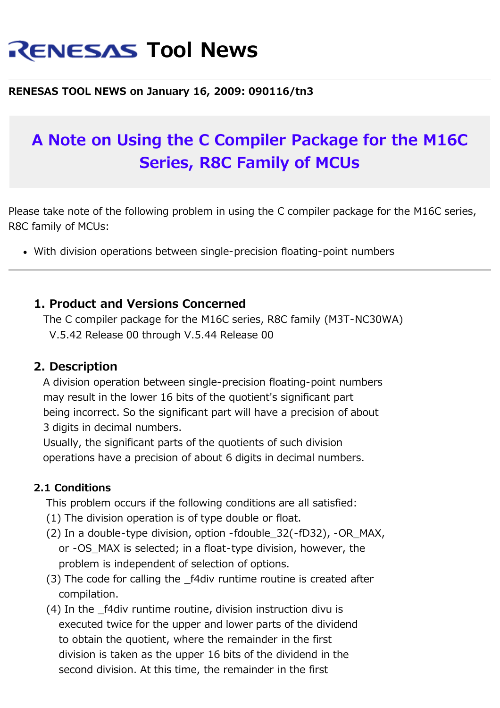# **RENESAS Tool News**

#### **RENESAS TOOL NEWS on January 16, 2009: 090116/tn3**

## **A Note on Using the C Compiler Package for the M16C Series, R8C Family of MCUs**

Please take note of the following problem in using the C compiler package for the M16C series, R8C family of MCUs:

With division operations between single-precision floating-point numbers

#### **1. Product and Versions Concerned**

 The C compiler package for the M16C series, R8C family (M3T-NC30WA) V.5.42 Release 00 through V.5.44 Release 00

#### **2. Description**

 A division operation between single-precision floating-point numbers may result in the lower 16 bits of the quotient's significant part being incorrect. So the significant part will have a precision of about 3 digits in decimal numbers.

 Usually, the significant parts of the quotients of such division operations have a precision of about 6 digits in decimal numbers.

#### **2.1 Conditions**

This problem occurs if the following conditions are all satisfied:

- (1) The division operation is of type double or float.
- (2) In a double-type division, option -fdouble\_32(-fD32), -OR\_MAX, or -OS\_MAX is selected; in a float-type division, however, the problem is independent of selection of options.
- (3) The code for calling the \_f4div runtime routine is created after compilation.
- (4) In the \_f4div runtime routine, division instruction divu is executed twice for the upper and lower parts of the dividend to obtain the quotient, where the remainder in the first division is taken as the upper 16 bits of the dividend in the second division. At this time, the remainder in the first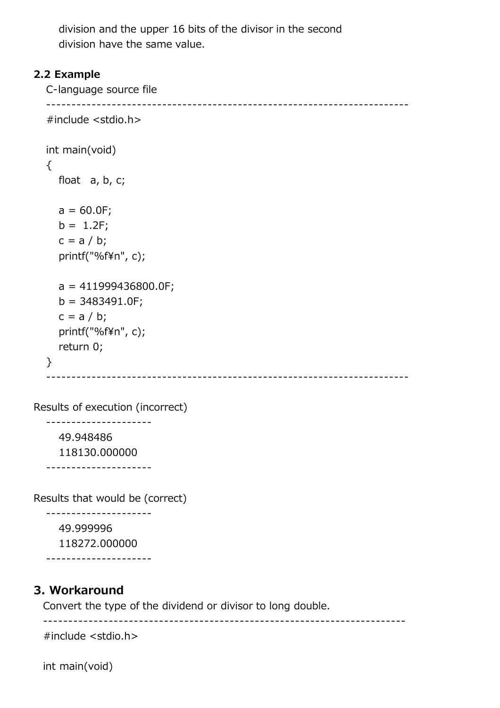division and the upper 16 bits of the divisor in the second division have the same value.

#### **2.2 Example**

 C-language source file ------------------------------------------------------------------------ #include <stdio.h> int main(void) { float a, b, c;  $a = 60.0F;$  $b = 1.2F$ ;  $c = a / b;$  printf("%f¥n", c); a = 411999436800.0F;  $b = 3483491.0F;$  $c = a / b$ ; printf("%f¥n", c); return 0; } ------------------------------------------------------------------------

Results of execution (incorrect)

---------------------

 49.948486 118130.000000

---------------------

Results that would be (correct)

 --------------------- 49.999996 118272.000000 ---------------------

**3. Workaround**

Convert the type of the dividend or divisor to long double.

------------------------------------------------------------------------

#include <stdio.h>

int main(void)